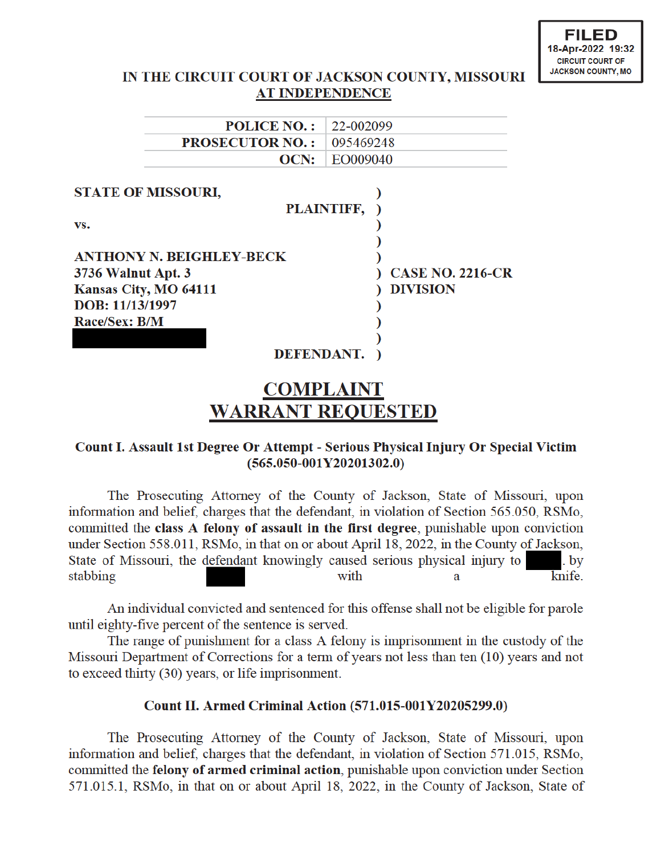## IN THE CIRCUIT COURT OF JACKSON COUNTY, MISSOURI **AT INDEPENDENCE**

|                                 | <b>POLICE NO.:</b> | 22-002099  |                         |
|---------------------------------|--------------------|------------|-------------------------|
| <b>PROSECUTOR NO.:</b>          |                    | 095469248  |                         |
|                                 | OCN:               | EO009040   |                         |
|                                 |                    |            |                         |
| <b>STATE OF MISSOURI,</b>       |                    |            |                         |
|                                 |                    | PLAINTIFF, |                         |
| VS.                             |                    |            |                         |
|                                 |                    |            |                         |
| <b>ANTHONY N. BEIGHLEY-BECK</b> |                    |            |                         |
| <b>3736 Walnut Apt. 3</b>       |                    |            | <b>CASE NO. 2216-CR</b> |
| Kansas City, MO 64111           |                    |            | <b>DIVISION</b>         |
| DOB: 11/13/1997                 |                    |            |                         |
| Race/Sex: B/M                   |                    |            |                         |
|                                 |                    |            |                         |
|                                 | <b>DEFENDANT.</b>  |            |                         |

# **COMPLAINT WARRANT REQUESTED**

## Count I. Assault 1st Degree Or Attempt - Serious Physical Injury Or Special Victim  $(565.050 - 001Y20201302.0)$

The Prosecuting Attorney of the County of Jackson, State of Missouri, upon information and belief, charges that the defendant, in violation of Section 565.050, RSMo, committed the class A felony of assault in the first degree, punishable upon conviction under Section 558.011, RSMo, in that on or about April 18, 2022, in the County of Jackson, State of Missouri, the defendant knowingly caused serious physical injury to  $bb$  by stabbing with knife. a

An individual convicted and sentenced for this offense shall not be eligible for parole until eighty-five percent of the sentence is served.

The range of punishment for a class A felony is imprisonment in the custody of the Missouri Department of Corrections for a term of years not less than ten (10) years and not to exceed thirty (30) years, or life imprisonment.

### Count II. Armed Criminal Action (571.015-001Y20205299.0)

The Prosecuting Attorney of the County of Jackson, State of Missouri, upon information and belief, charges that the defendant, in violation of Section 571.015, RSMo, committed the felony of armed criminal action, punishable upon conviction under Section 571.015.1, RSMo, in that on or about April 18, 2022, in the County of Jackson, State of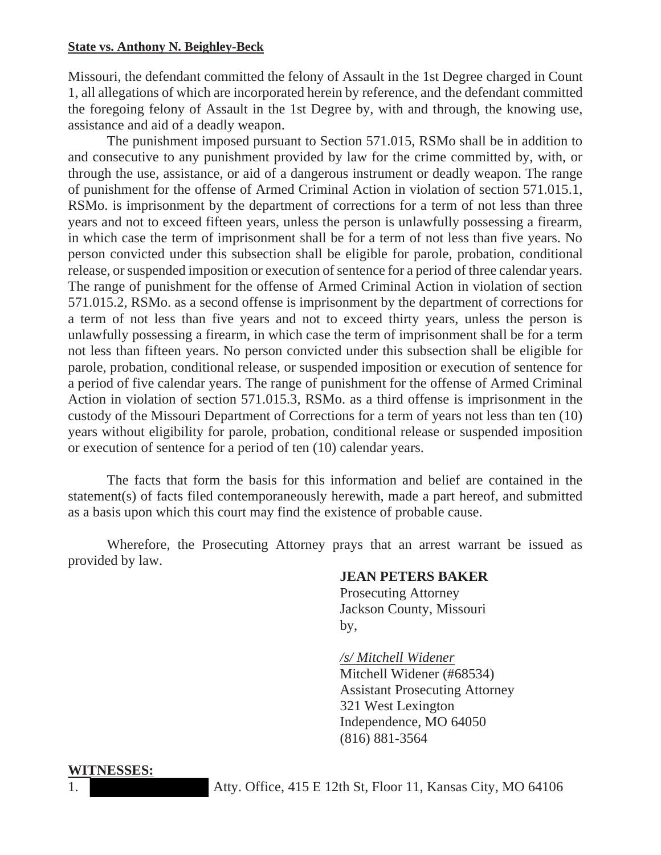#### **State vs. Anthony N. Beighley-Beck**

Missouri, the defendant committed the felony of Assault in the 1st Degree charged in Count 1, all allegations of which are incorporated herein by reference, and the defendant committed the foregoing felony of Assault in the 1st Degree by, with and through, the knowing use, assistance and aid of a deadly weapon.

The punishment imposed pursuant to Section 571.015, RSMo shall be in addition to and consecutive to any punishment provided by law for the crime committed by, with, or through the use, assistance, or aid of a dangerous instrument or deadly weapon. The range of punishment for the offense of Armed Criminal Action in violation of section 571.015.1, RSMo. is imprisonment by the department of corrections for a term of not less than three years and not to exceed fifteen years, unless the person is unlawfully possessing a firearm, in which case the term of imprisonment shall be for a term of not less than five years. No person convicted under this subsection shall be eligible for parole, probation, conditional release, or suspended imposition or execution of sentence for a period of three calendar years. The range of punishment for the offense of Armed Criminal Action in violation of section 571.015.2, RSMo. as a second offense is imprisonment by the department of corrections for a term of not less than five years and not to exceed thirty years, unless the person is unlawfully possessing a firearm, in which case the term of imprisonment shall be for a term not less than fifteen years. No person convicted under this subsection shall be eligible for parole, probation, conditional release, or suspended imposition or execution of sentence for a period of five calendar years. The range of punishment for the offense of Armed Criminal Action in violation of section 571.015.3, RSMo. as a third offense is imprisonment in the custody of the Missouri Department of Corrections for a term of years not less than ten (10) years without eligibility for parole, probation, conditional release or suspended imposition or execution of sentence for a period of ten (10) calendar years.

The facts that form the basis for this information and belief are contained in the statement(s) of facts filed contemporaneously herewith, made a part hereof, and submitted as a basis upon which this court may find the existence of probable cause.

Wherefore, the Prosecuting Attorney prays that an arrest warrant be issued as provided by law.

### **JEAN PETERS BAKER**

 Prosecuting Attorney Jackson County, Missouri by,

*/s/ Mitchell Widener* 

 Mitchell Widener (#68534) Assistant Prosecuting Attorney 321 West Lexington Independence, MO 64050 (816) 881-3564

1. Atty. Office, 415 E 12th St, Floor 11, Kansas City, MO 64106

**WITNESSES:**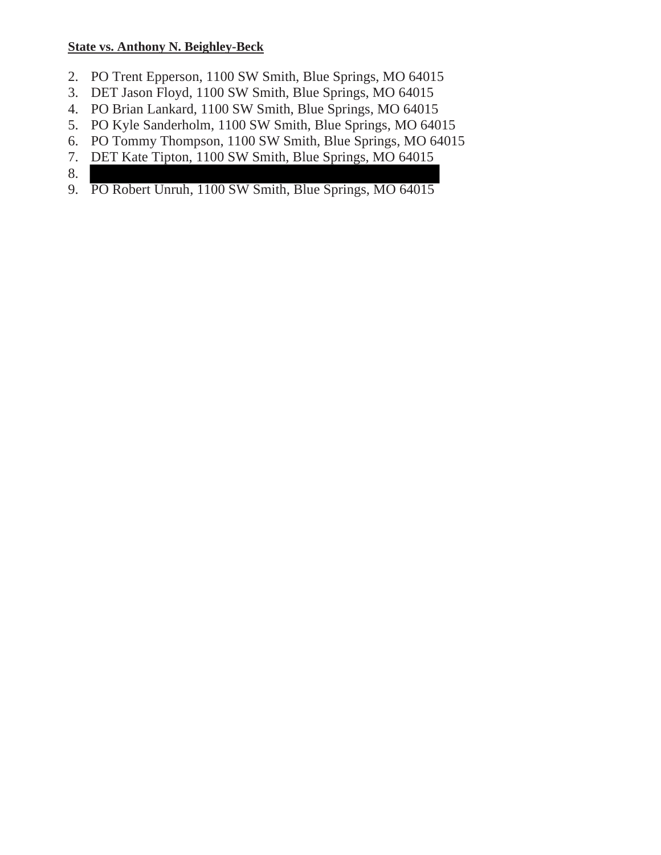### **State vs. Anthony N. Beighley-Beck**

- 2. PO Trent Epperson, 1100 SW Smith, Blue Springs, MO 64015
- 3. DET Jason Floyd, 1100 SW Smith, Blue Springs, MO 64015
- 4. PO Brian Lankard, 1100 SW Smith, Blue Springs, MO 64015
- 5. PO Kyle Sanderholm, 1100 SW Smith, Blue Springs, MO 64015
- 6. PO Tommy Thompson, 1100 SW Smith, Blue Springs, MO 64015
- 7. DET Kate Tipton, 1100 SW Smith, Blue Springs, MO 64015

8.

9. PO Robert Unruh, 1100 SW Smith, Blue Springs, MO 64015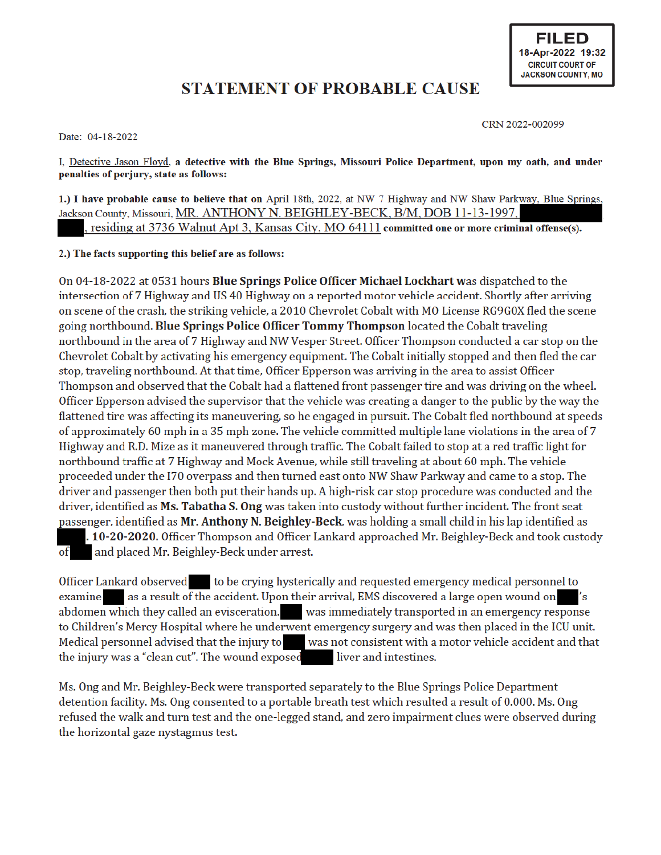**FILED** 18-Apr-2022 19:32 **CIRCUIT COURT OF JACKSON COUNTY, MO** 

## **STATEMENT OF PROBABLE CAUSE**

Date: 04-18-2022

CRN 2022-002099

I, Detective Jason Floyd, a detective with the Blue Springs, Missouri Police Department, upon my oath, and under penalties of perjury, state as follows:

1.) I have probable cause to believe that on April 18th, 2022, at NW 7 Highway and NW Shaw Parkway, Blue Springs, Jackson County, Missouri, MR. ANTHONY N. BEIGHLEY-BECK, B/M, DOB 11-13-1997, residing at 3736 Walnut Apt 3, Kansas City, MO 64111 committed one or more criminal offense(s).

2.) The facts supporting this belief are as follows:

On 04-18-2022 at 0531 hours Blue Springs Police Officer Michael Lockhart was dispatched to the intersection of 7 Highway and US 40 Highway on a reported motor vehicle accident. Shortly after arriving on scene of the crash, the striking vehicle, a 2010 Chevrolet Cobalt with MO License RG9G0X fled the scene going northbound. Blue Springs Police Officer Tommy Thompson located the Cobalt traveling northbound in the area of 7 Highway and NW Vesper Street. Officer Thompson conducted a car stop on the Chevrolet Cobalt by activating his emergency equipment. The Cobalt initially stopped and then fled the car stop, traveling northbound. At that time, Officer Epperson was arriving in the area to assist Officer Thompson and observed that the Cobalt had a flattened front passenger tire and was driving on the wheel. Officer Epperson advised the supervisor that the vehicle was creating a danger to the public by the way the flattened tire was affecting its maneuvering, so he engaged in pursuit. The Cobalt fled northbound at speeds of approximately 60 mph in a 35 mph zone. The vehicle committed multiple lane violations in the area of 7 Highway and R.D. Mize as it maneuvered through traffic. The Cobalt failed to stop at a red traffic light for northbound traffic at 7 Highway and Mock Avenue, while still traveling at about 60 mph. The vehicle proceeded under the I70 overpass and then turned east onto NW Shaw Parkway and came to a stop. The driver and passenger then both put their hands up. A high-risk car stop procedure was conducted and the driver, identified as Ms. Tabatha S. Ong was taken into custody without further incident. The front seat passenger, identified as Mr. Anthony N. Beighley-Beck, was holding a small child in his lap identified as . 10-20-2020. Officer Thompson and Officer Lankard approached Mr. Beighley-Beck and took custody and placed Mr. Beighley-Beck under arrest. of

Officer Lankard observed to be crying hysterically and requested emergency medical personnel to as a result of the accident. Upon their arrival, EMS discovered a large open wound on examine 's abdomen which they called an evisceration. was immediately transported in an emergency response to Children's Mercy Hospital where he underwent emergency surgery and was then placed in the ICU unit. Medical personnel advised that the injury to was not consistent with a motor vehicle accident and that the injury was a "clean cut". The wound exposed liver and intestines.

Ms. Ong and Mr. Beighley-Beck were transported separately to the Blue Springs Police Department detention facility. Ms. Ong consented to a portable breath test which resulted a result of 0.000. Ms. Ong refused the walk and turn test and the one-legged stand, and zero impairment clues were observed during the horizontal gaze nystagmus test.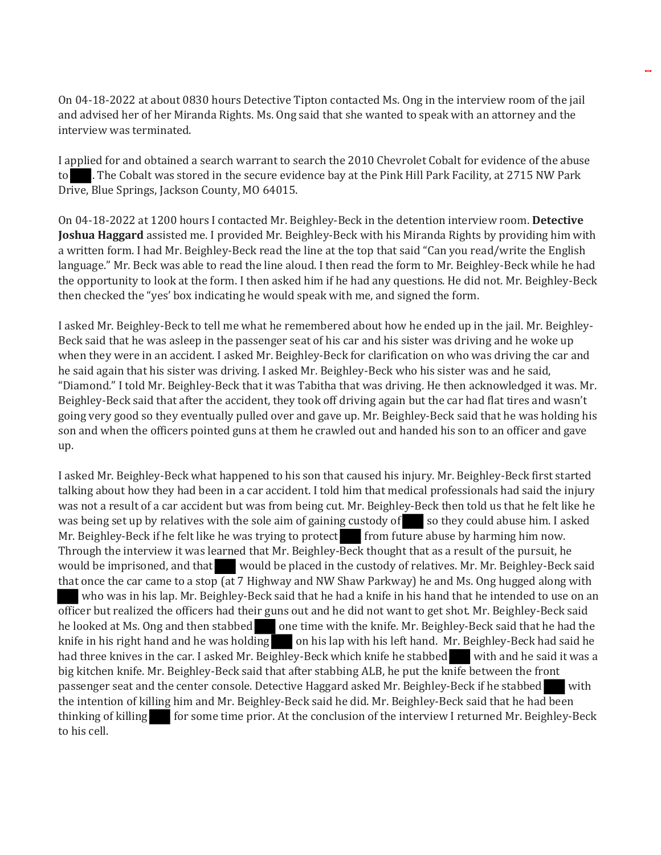On 04-18-2022 at about 0830 hours Detective Tipton contacted Ms. Ong in the interview room of the jail and advised her of her Miranda Rights. Ms. Ong said that she wanted to speak with an attorney and the interview was terminated.

I applied for and obtained a search warrant to search the 2010 Chevrolet Cobalt for evidence of the abuse to the Cobalt was stored in the secure evidence bay at the Pink Hill Park Facility, at 2715 NW Park Drive, Blue Springs, Jackson County, MO 64015.

Οπ 04-18-2022 at 1200 hours I contacted Mr. Beighley-Beck in the detention interview room. **Detective Joshua Haggard** assisted me. I provided Mr. Beighley-Beck with his Miranda Rights by providing him with a written form. I had Mr. Beighley-Beck read the line at the top that said "Can you read/write the English language." Mr. Beck was able to read the line aloud. I then read the form to Mr. Beighley-Beck while he had the opportunity to look at the form. I then asked him if he had any questions. He did not. Mr. Beighley-Beck then checked the "yes' box indicating he would speak with me, and signed the form.

I asked Mr. Beighley-Beck to tell me what he remembered about how he ended up in the jail. Mr. Beighley-Beck said that he was asleep in the passenger seat of his car and his sister was driving and he woke up when they were in an accident. I asked Mr. Beighley-Beck for clarification on who was driving the car and he said again that his sister was driving. I asked Mr. Beighley-Beck who his sister was and he said, "Diamond." I told Mr. Beighley-Beck that it was Tabitha that was driving. He then acknowledged it was. Mr. Beighley-Beck said that after the accident, they took off driving again but the car had flat tires and wasn't going very good so they eventually pulled over and gave up. Mr. Beighley-Beck said that he was holding his son and when the officers pointed guns at them he crawled out and handed his son to an officer and gave up.

I asked Mr. Beighley-Beck what happened to his son that caused his injury. Mr. Beighley-Beck first started talking about how they had been in a car accident. I told him that medical professionals had said the injury was not a result of a car accident but was from being cut. Mr. Beighley-Beck then told us that he felt like he was being set up by relatives with the sole aim of gaining custody of so they could abuse him. I asked Mr. Beighley-Beck if he felt like he was trying to protect from future abuse by harming him now. Through the interview it was learned that Mr. Beighley-Beck thought that as a result of the pursuit, he would be imprisoned, and that would be placed in the custody of relatives. Mr. Mr. Beighley-Beck said that once the car came to a stop (at 7 Highway and NW Shaw Parkway) he and Ms. Ong hugged along with who was in his lap. Mr. Beighley-Beck said that he had a knife in his hand that he intended to use on an officer but realized the officers had their guns out and he did not want to get shot. Mr. Beighley-Beck said he looked at Ms. Ong and then stabbed one time with the knife. Mr. Beighley-Beck said that he had the knife in his right hand and he was holding on his lap with his left hand. Mr. Beighley-Beck had said he had three knives in the car. I asked Mr. Beighley-Beck which knife he stabbed with and he said it was a big kitchen knife. Mr. Beighley-Beck said that after stabbing ALB, he put the knife between the front passenger seat and the center console. Detective Haggard asked Mr. Beighley-Beck if he stabbed with the intention of killing him and Mr. Beighley-Beck said he did. Mr. Beighley-Beck said that he had been thinking of killing for some time prior. At the conclusion of the interview I returned Mr. Beighley-Beck to his cell.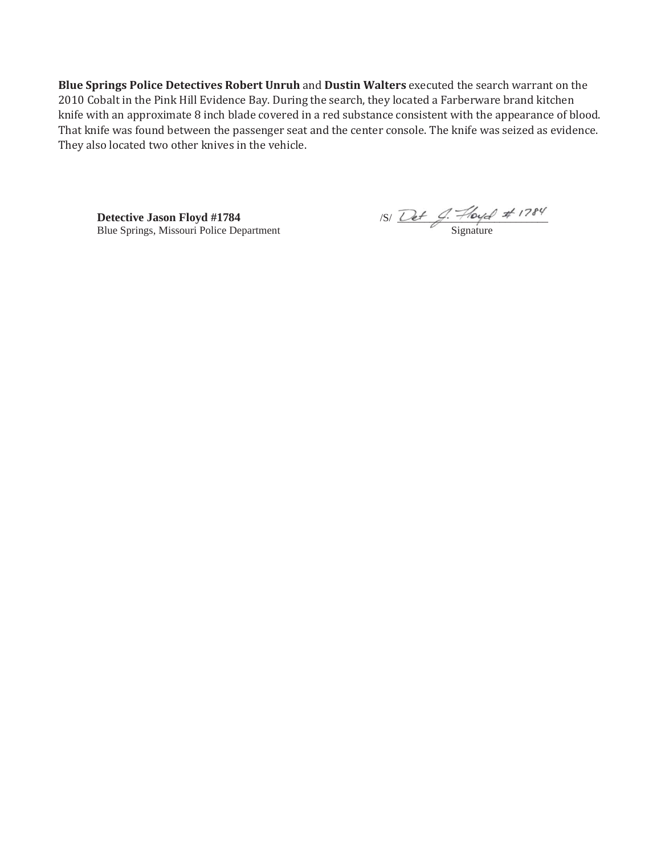**Blue Springs Police Detectives Robert Unruh and Dustin Walters executed the search warrant on the** 2010 Cobalt in the Pink Hill Evidence Bay. During the search, they located a Farberware brand kitchen knife with an approximate 8 inch blade covered in a red substance consistent with the appearance of blood. That knife was found between the passenger seat and the center console. The knife was seized as evidence. They also located two other knives in the vehicle.

Blue Springs, Missouri Police Department

**Detective Jason Floyd #1784** */S/ Det J. Hoyd #1784*<br>Blue Springs, Missouri Police Department *Signature Signature*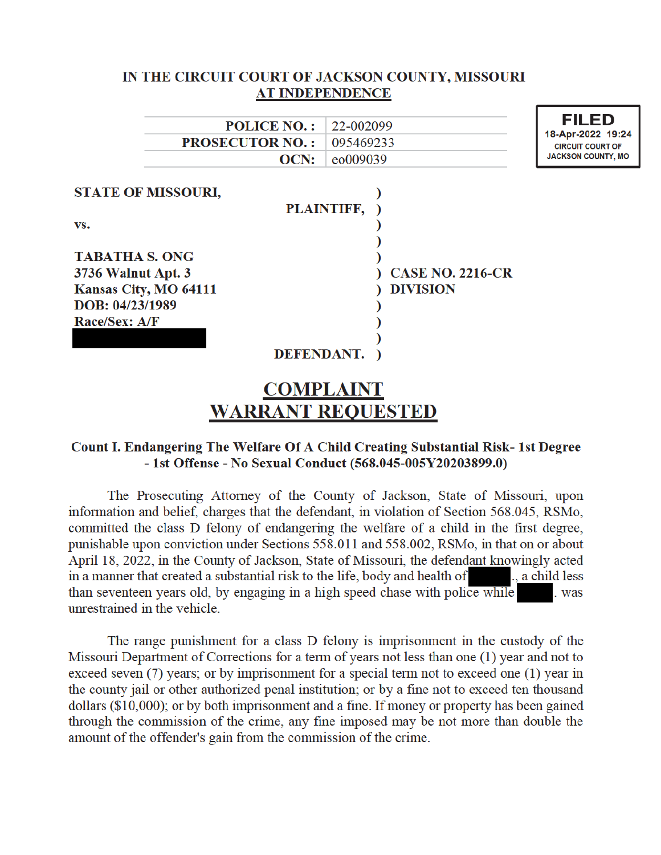|                                          | IN THE CIRCUIT COURT OF JACKSON COUNTY, MISSOURI |                                                                                           |
|------------------------------------------|--------------------------------------------------|-------------------------------------------------------------------------------------------|
|                                          | <b>AT INDEPENDENCE</b>                           |                                                                                           |
| <b>POLICE NO.:</b>                       | 22-002099                                        | <b>FILED</b><br>18-Apr-2022 19:24<br><b>CIRCUIT COURT OF</b><br><b>JACKSON COUNTY, MO</b> |
| <b>PROSECUTOR NO.:</b>                   | 095469233                                        |                                                                                           |
| OCN:                                     | eo009039                                         |                                                                                           |
| <b>STATE OF MISSOURI,</b><br>VS.         | PLAINTIFF,                                       |                                                                                           |
|                                          |                                                  |                                                                                           |
| <b>TABATHA S. ONG</b>                    |                                                  |                                                                                           |
| 3736 Walnut Apt. 3                       | <b>CASE NO. 2216-CR</b>                          |                                                                                           |
| Kansas City, MO 64111<br>DOB: 04/23/1989 | <b>DIVISION</b>                                  |                                                                                           |
| Race/Sex: A/F                            |                                                  |                                                                                           |
|                                          | DEFENDANT.                                       |                                                                                           |
|                                          | <b>COMPLAINT</b>                                 |                                                                                           |
|                                          | <b>WARRANT REQUESTED</b>                         |                                                                                           |

### Count I. Endangering The Welfare Of A Child Creating Substantial Risk-1st Degree - 1st Offense - No Sexual Conduct (568.045-005Y20203899.0)

The Prosecuting Attorney of the County of Jackson, State of Missouri, upon information and belief, charges that the defendant, in violation of Section 568.045, RSMo, committed the class D felony of endangering the welfare of a child in the first degree, punishable upon conviction under Sections 558.011 and 558.002, RSMo, in that on or about April 18, 2022, in the County of Jackson, State of Missouri, the defendant knowingly acted in a manner that created a substantial risk to the life, body and health of , a child less than seventeen years old, by engaging in a high speed chase with police while . was unrestrained in the vehicle.

The range punishment for a class D felony is imprisonment in the custody of the Missouri Department of Corrections for a term of years not less than one (1) year and not to exceed seven (7) years; or by imprisonment for a special term not to exceed one (1) year in the county jail or other authorized penal institution; or by a fine not to exceed ten thousand dollars (\$10,000); or by both imprisonment and a fine. If money or property has been gained through the commission of the crime, any fine imposed may be not more than double the amount of the offender's gain from the commission of the crime.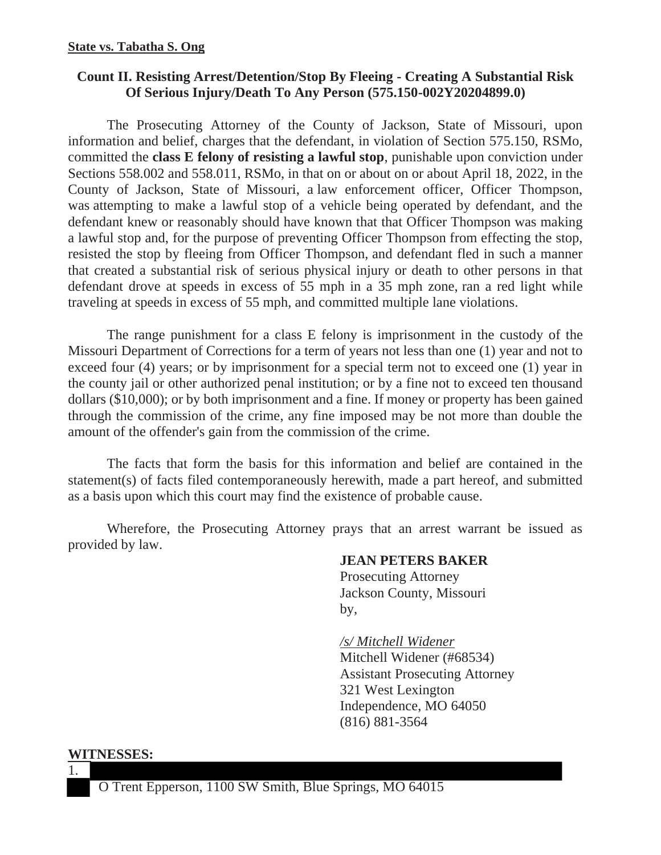#### **State vs. Tabatha S. Ong**

### **Count II. Resisting Arrest/Detention/Stop By Fleeing - Creating A Substantial Risk Of Serious Injury/Death To Any Person (575.150-002Y20204899.0)**

The Prosecuting Attorney of the County of Jackson, State of Missouri, upon information and belief, charges that the defendant, in violation of Section 575.150, RSMo, committed the **class E felony of resisting a lawful stop**, punishable upon conviction under Sections 558.002 and 558.011, RSMo, in that on or about on or about April 18, 2022, in the County of Jackson, State of Missouri, a law enforcement officer, Officer Thompson, was attempting to make a lawful stop of a vehicle being operated by defendant, and the defendant knew or reasonably should have known that that Officer Thompson was making a lawful stop and, for the purpose of preventing Officer Thompson from effecting the stop, resisted the stop by fleeing from Officer Thompson, and defendant fled in such a manner that created a substantial risk of serious physical injury or death to other persons in that defendant drove at speeds in excess of 55 mph in a 35 mph zone, ran a red light while traveling at speeds in excess of 55 mph, and committed multiple lane violations.

The range punishment for a class E felony is imprisonment in the custody of the Missouri Department of Corrections for a term of years not less than one (1) year and not to exceed four (4) years; or by imprisonment for a special term not to exceed one (1) year in the county jail or other authorized penal institution; or by a fine not to exceed ten thousand dollars (\$10,000); or by both imprisonment and a fine. If money or property has been gained through the commission of the crime, any fine imposed may be not more than double the amount of the offender's gain from the commission of the crime.

The facts that form the basis for this information and belief are contained in the statement(s) of facts filed contemporaneously herewith, made a part hereof, and submitted as a basis upon which this court may find the existence of probable cause.

Wherefore, the Prosecuting Attorney prays that an arrest warrant be issued as provided by law.

### **JEAN PETERS BAKER**

 Prosecuting Attorney Jackson County, Missouri by,

> */s/ Mitchell Widener*  Mitchell Widener (#68534) Assistant Prosecuting Attorney 321 West Lexington Independence, MO 64050 (816) 881-3564

**WITNESSES:**

1.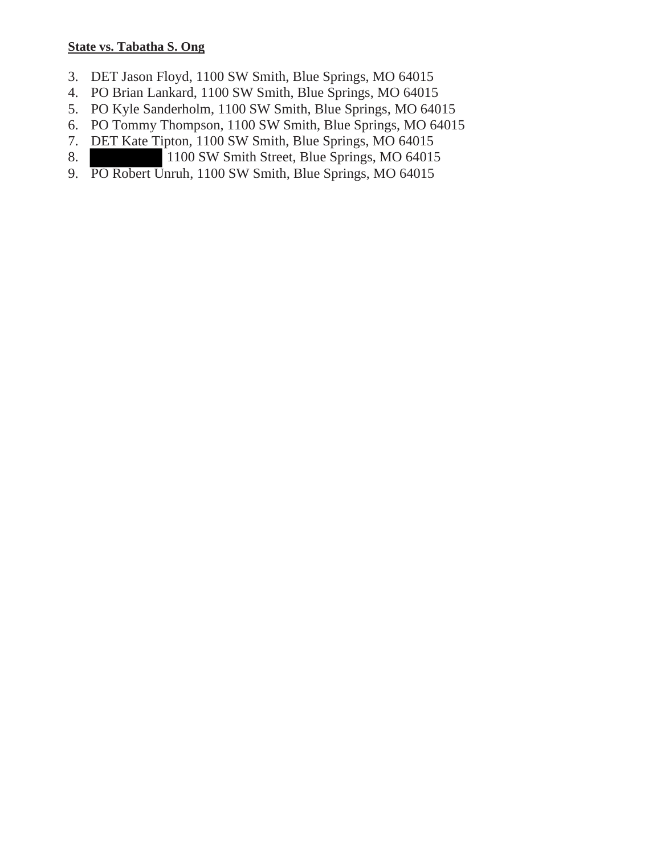### **State vs. Tabatha S. Ong**

- 3. DET Jason Floyd, 1100 SW Smith, Blue Springs, MO 64015
- 4. PO Brian Lankard, 1100 SW Smith, Blue Springs, MO 64015
- 5. PO Kyle Sanderholm, 1100 SW Smith, Blue Springs, MO 64015
- 6. PO Tommy Thompson, 1100 SW Smith, Blue Springs, MO 64015
- 7. DET Kate Tipton, 1100 SW Smith, Blue Springs, MO 64015
- 8. 1100 SW Smith Street, Blue Springs, MO 64015
- 9. PO Robert Unruh, 1100 SW Smith, Blue Springs, MO 64015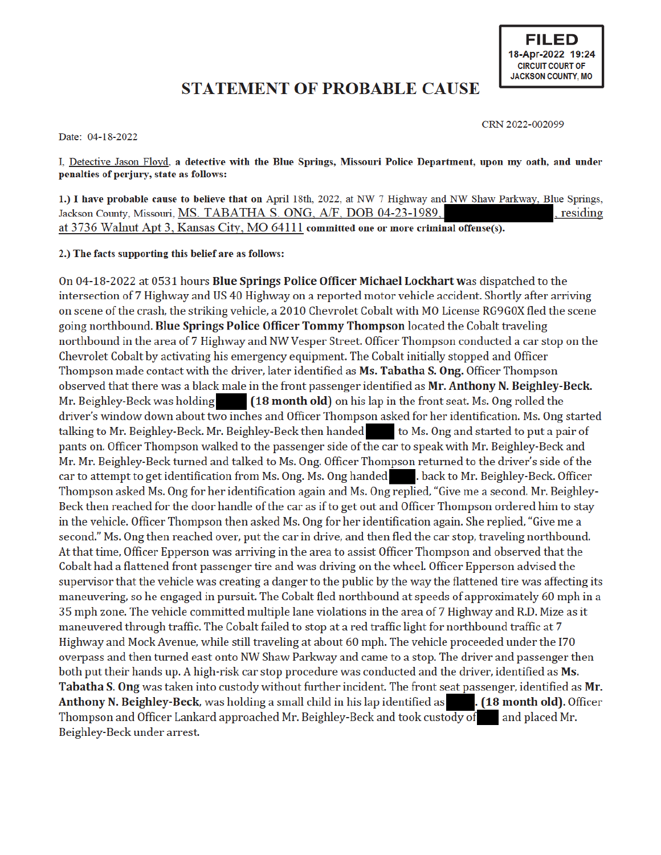## **STATEMENT OF PROBABLE CAUSE**

Date: 04-18-2022

CRN 2022-002099

I, Detective Jason Floyd, a detective with the Blue Springs, Missouri Police Department, upon my oath, and under penalties of perjury, state as follows:

1.) I have probable cause to believe that on April 18th, 2022, at NW 7 Highway and NW Shaw Parkway, Blue Springs, Jackson County, Missouri, MS. TABATHA S. ONG, A/F, DOB 04-23-1989, residing at 3736 Walnut Apt 3, Kansas City, MO 64111 committed one or more criminal offense(s).

2.) The facts supporting this belief are as follows:

On 04-18-2022 at 0531 hours Blue Springs Police Officer Michael Lockhart was dispatched to the intersection of 7 Highway and US 40 Highway on a reported motor vehicle accident. Shortly after arriving on scene of the crash, the striking vehicle, a 2010 Chevrolet Cobalt with MO License RG9G0X fled the scene going northbound. Blue Springs Police Officer Tommy Thompson located the Cobalt traveling northbound in the area of 7 Highway and NW Vesper Street. Officer Thompson conducted a car stop on the Chevrolet Cobalt by activating his emergency equipment. The Cobalt initially stopped and Officer Thompson made contact with the driver, later identified as Ms. Tabatha S. Ong. Officer Thompson observed that there was a black male in the front passenger identified as Mr. Anthony N. Beighley-Beck. (18 month old) on his lap in the front seat. Ms. Ong rolled the Mr. Beighley-Beck was holding driver's window down about two inches and Officer Thompson asked for her identification. Ms. Ong started talking to Mr. Beighley-Beck. Mr. Beighley-Beck then handed to Ms. Ong and started to put a pair of pants on. Officer Thompson walked to the passenger side of the car to speak with Mr. Beighley-Beck and Mr. Mr. Beighley-Beck turned and talked to Ms. Ong. Officer Thompson returned to the driver's side of the car to attempt to get identification from Ms. Ong. Ms. Ong handed | back to Mr. Beighley-Beck. Officer Thompson asked Ms. Ong for her identification again and Ms. Ong replied, "Give me a second. Mr. Beighley-Beck then reached for the door handle of the car as if to get out and Officer Thompson ordered him to stay in the vehicle. Officer Thompson then asked Ms. Ong for her identification again. She replied, "Give me a second." Ms. Ong then reached over, put the car in drive, and then fled the car stop, traveling northbound. At that time, Officer Epperson was arriving in the area to assist Officer Thompson and observed that the Cobalt had a flattened front passenger tire and was driving on the wheel. Officer Epperson advised the supervisor that the vehicle was creating a danger to the public by the way the flattened tire was affecting its maneuvering, so he engaged in pursuit. The Cobalt fled northbound at speeds of approximately 60 mph in a 35 mph zone. The vehicle committed multiple lane violations in the area of 7 Highway and R.D. Mize as it maneuvered through traffic. The Cobalt failed to stop at a red traffic light for northbound traffic at 7 Highway and Mock Avenue, while still traveling at about 60 mph. The vehicle proceeded under the I70 overpass and then turned east onto NW Shaw Parkway and came to a stop. The driver and passenger then both put their hands up. A high-risk car stop procedure was conducted and the driver, identified as Ms. Tabatha S. Ong was taken into custody without further incident. The front seat passenger, identified as Mr. Anthony N. Beighley-Beck, was holding a small child in his lap identified as . (18 month old). Officer Thompson and Officer Lankard approached Mr. Beighley-Beck and took custody of and placed Mr. Beighley-Beck under arrest.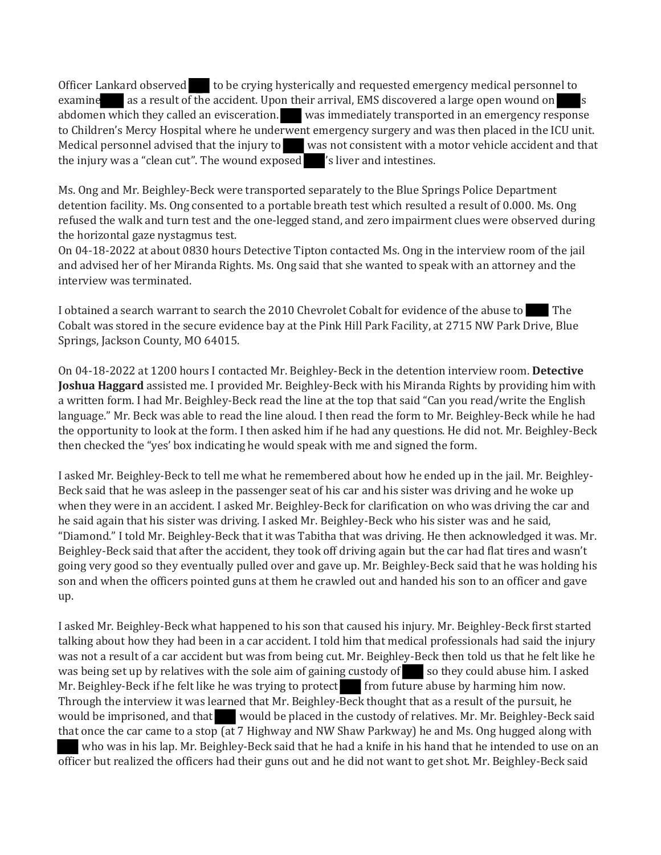Officer Lankard observed to be crying hysterically and requested emergency medical personnel to examine as a result of the accident. Upon their arrival, EMS discovered a large open wound on s abdomen which they called an evisceration. Was immediately transported in an emergency response to Children's Mercy Hospital where he underwent emergency surgery and was then placed in the ICU unit. Medical personnel advised that the injury to was not consistent with a motor vehicle accident and that the injury was a "clean cut". The wound exposed  $\blacksquare$  's liver and intestines.

Ms. Ong and Mr. Beighley-Beck were transported separately to the Blue Springs Police Department detention facility. Ms. Ong consented to a portable breath test which resulted a result of 0.000. Ms. Ong refused the walk and turn test and the one-legged stand, and zero impairment clues were observed during the horizontal gaze nystagmus test.

Ο π 04-18-2022 at about 0830 hours Detective Tipton contacted Ms. Ong in the interview room of the jail and advised her of her Miranda Rights. Ms. Ong said that she wanted to speak with an attorney and the interview was terminated.

I obtained a search warrant to search the 2010 Chevrolet Cobalt for evidence of the abuse to The Cobalt was stored in the secure evidence bay at the Pink Hill Park Facility, at 2715 NW Park Drive, Blue Springs, Jackson County, MO 64015.

Οπ 04-18-2022 at 1200 hours I contacted Mr. Beighley-Beck in the detention interview room. **Detective** Joshua Haggard assisted me. I provided Mr. Beighley-Beck with his Miranda Rights by providing him with a written form. I had Mr. Beighley-Beck read the line at the top that said "Can you read/write the English language." Mr. Beck was able to read the line aloud. I then read the form to Mr. Beighley-Beck while he had the opportunity to look at the form. I then asked him if he had any questions. He did not. Mr. Beighley-Beck then checked the "yes' box indicating he would speak with me and signed the form.

I asked Mr. Beighley-Beck to tell me what he remembered about how he ended up in the jail. Mr. Beighley-Beck said that he was asleep in the passenger seat of his car and his sister was driving and he woke up when they were in an accident. I asked Mr. Beighley-Beck for clarification on who was driving the car and he said again that his sister was driving. I asked Mr. Beighley-Beck who his sister was and he said, "Diamond." I told Mr. Beighley-Beck that it was Tabitha that was driving. He then acknowledged it was. Mr. Beighley-Beck said that after the accident, they took off driving again but the car had flat tires and wasn't going very good so they eventually pulled over and gave up. Mr. Beighley-Beck said that he was holding his son and when the officers pointed guns at them he crawled out and handed his son to an officer and gave up.

I asked Mr. Beighley-Beck what happened to his son that caused his injury. Mr. Beighley-Beck first started talking about how they had been in a car accident. I told him that medical professionals had said the injury was not a result of a car accident but was from being cut. Mr. Beighley-Beck then told us that he felt like he was being set up by relatives with the sole aim of gaining custody of so they could abuse him. I asked Mr. Beighley-Beck if he felt like he was trying to protect from future abuse by harming him now. Through the interview it was learned that Mr. Beighley-Beck thought that as a result of the pursuit, he would be imprisoned, and that would be placed in the custody of relatives. Mr. Mr. Beighley-Beck said that once the car came to a stop (at 7 Highway and NW Shaw Parkway) he and Ms. Ong hugged along with who was in his lap. Mr. Beighley-Beck said that he had a knife in his hand that he intended to use on an officer but realized the officers had their guns out and he did not want to get shot. Mr. Beighley-Beck said